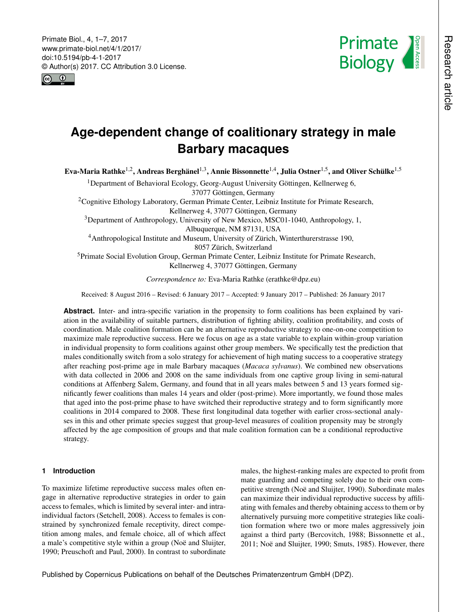<span id="page-0-1"></span>Primate Biol., 4, 1–7, 2017 www.primate-biol.net/4/1/2017/ doi:10.5194/pb-4-1-2017 © Author(s) 2017. CC Attribution 3.0 License.





# **Age-dependent change of coalitionary strategy in male Barbary macaques**

Eva-Maria Rathke<sup>[1,2](#page-0-0)</sup>, Andreas Berghänel<sup>[1,3](#page-0-0)</sup>, Annie Bissonnette<sup>[1,4](#page-0-0)</sup>, Julia Ostner<sup>[1,5](#page-0-0)</sup>, and Oliver Schülke<sup>1,5</sup>

<sup>1</sup>Department of Behavioral Ecology, Georg-August University Göttingen, Kellnerweg 6, 37077 Göttingen, Germany

<sup>2</sup>Cognitive Ethology Laboratory, German Primate Center, Leibniz Institute for Primate Research, Kellnerweg 4, 37077 Göttingen, Germany

<sup>3</sup>Department of Anthropology, University of New Mexico, MSC01-1040, Anthropology, 1, Albuquerque, NM 87131, USA

<sup>4</sup>Anthropological Institute and Museum, University of Zürich, Winterthurerstrasse 190,

8057 Zürich, Switzerland

<sup>5</sup>Primate Social Evolution Group, German Primate Center, Leibniz Institute for Primate Research, Kellnerweg 4, 37077 Göttingen, Germany

*Correspondence to:* Eva-Maria Rathke (erathke@dpz.eu)

Received: 8 August 2016 – Revised: 6 January 2017 – Accepted: 9 January 2017 – Published: 26 January 2017

Abstract. Inter- and intra-specific variation in the propensity to form coalitions has been explained by variation in the availability of suitable partners, distribution of fighting ability, coalition profitability, and costs of coordination. Male coalition formation can be an alternative reproductive strategy to one-on-one competition to maximize male reproductive success. Here we focus on age as a state variable to explain within-group variation in individual propensity to form coalitions against other group members. We specifically test the prediction that males conditionally switch from a solo strategy for achievement of high mating success to a cooperative strategy after reaching post-prime age in male Barbary macaques (*Macaca sylvanus*). We combined new observations with data collected in 2006 and 2008 on the same individuals from one captive group living in semi-natural conditions at Affenberg Salem, Germany, and found that in all years males between 5 and 13 years formed significantly fewer coalitions than males 14 years and older (post-prime). More importantly, we found those males that aged into the post-prime phase to have switched their reproductive strategy and to form significantly more coalitions in 2014 compared to 2008. These first longitudinal data together with earlier cross-sectional analyses in this and other primate species suggest that group-level measures of coalition propensity may be strongly affected by the age composition of groups and that male coalition formation can be a conditional reproductive strategy.

# <span id="page-0-0"></span>**1 Introduction**

To maximize lifetime reproductive success males often engage in alternative reproductive strategies in order to gain access to females, which is limited by several inter- and intraindividual factors (Setchell, 2008). Access to females is constrained by synchronized female receptivity, direct competition among males, and female choice, all of which affect a male's competitive style within a group (Noë and Sluijter, 1990; Preuschoft and Paul, 2000). In contrast to subordinate

males, the highest-ranking males are expected to profit from mate guarding and competing solely due to their own competitive strength (Noë and Sluijter, 1990). Subordinate males can maximize their individual reproductive success by affiliating with females and thereby obtaining access to them or by alternatively pursuing more competitive strategies like coalition formation where two or more males aggressively join against a third party (Bercovitch, 1988; Bissonnette et al., 2011; Noë and Sluijter, 1990; Smuts, 1985). However, there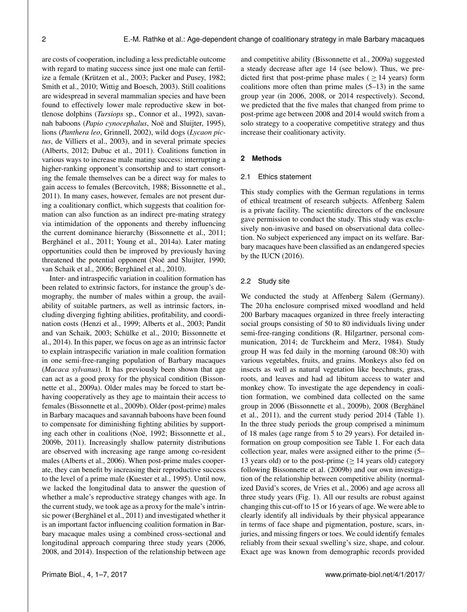are costs of cooperation, including a less predictable outcome with regard to mating success since just one male can fertilize a female (Krützen et al., 2003; Packer and Pusey, 1982; Smith et al., 2010; Wittig and Boesch, 2003). Still coalitions are widespread in several mammalian species and have been found to effectively lower male reproductive skew in bottlenose dolphins (*Tursiops* sp., Connor et al., 1992), savannah baboons (*Papio cynocephalus*, Noë and Sluijter, 1995), lions (*Panthera leo*, Grinnell, 2002), wild dogs (*Lycaon pictus*, de Villiers et al., 2003), and in several primate species (Alberts, 2012; Dubuc et al., 2011). Coalitions function in various ways to increase male mating success: interrupting a higher-ranking opponent's consortship and to start consorting the female themselves can be a direct way for males to gain access to females (Bercovitch, 1988; Bissonnette et al., 2011). In many cases, however, females are not present during a coalitionary conflict, which suggests that coalition formation can also function as an indirect pre-mating strategy via intimidation of the opponents and thereby influencing the current dominance hierarchy (Bissonnette et al., 2011; Berghänel et al., 2011; Young et al., 2014a). Later mating opportunities could then be improved by previously having threatened the potential opponent (Noë and Sluijter, 1990; van Schaik et al., 2006; Berghänel et al., 2010).

Inter- and intraspecific variation in coalition formation has been related to extrinsic factors, for instance the group's demography, the number of males within a group, the availability of suitable partners, as well as intrinsic factors, including diverging fighting abilities, profitability, and coordination costs (Henzi et al., 1999; Alberts et al., 2003; Pandit and van Schaik, 2003; Schülke et al., 2010; Bissonnette et al., 2014). In this paper, we focus on age as an intrinsic factor to explain intraspecific variation in male coalition formation in one semi-free-ranging population of Barbary macaques (*Macaca sylvanus*). It has previously been shown that age can act as a good proxy for the physical condition (Bissonnette et al., 2009a). Older males may be forced to start behaving cooperatively as they age to maintain their access to females (Bissonnette et al., 2009b). Older (post-prime) males in Barbary macaques and savannah baboons have been found to compensate for diminishing fighting abilities by supporting each other in coalitions (Noë, 1992; Bissonnette et al., 2009b, 2011). Increasingly shallow paternity distributions are observed with increasing age range among co-resident males (Alberts et al., 2006). When post-prime males cooperate, they can benefit by increasing their reproductive success to the level of a prime male (Kuester et al., 1995). Until now, we lacked the longitudinal data to answer the question of whether a male's reproductive strategy changes with age. In the current study, we took age as a proxy for the male's intrinsic power (Berghänel et al., 2011) and investigated whether it is an important factor influencing coalition formation in Barbary macaque males using a combined cross-sectional and longitudinal approach comparing three study years (2006, 2008, and 2014). Inspection of the relationship between age

and competitive ability (Bissonnette et al., 2009a) suggested a steady decrease after age 14 (see below). Thus, we predicted first that post-prime phase males ( $\geq$  14 years) form coalitions more often than prime males  $(5-13)$  in the same group year (in 2006, 2008, or 2014 respectively). Second, we predicted that the five males that changed from prime to post-prime age between 2008 and 2014 would switch from a solo strategy to a cooperative competitive strategy and thus increase their coalitionary activity.

### **2 Methods**

#### 2.1 Ethics statement

This study complies with the German regulations in terms of ethical treatment of research subjects. Affenberg Salem is a private facility. The scientific directors of the enclosure gave permission to conduct the study. This study was exclusively non-invasive and based on observational data collection. No subject experienced any impact on its welfare. Barbary macaques have been classified as an endangered species by the IUCN (2016).

#### 2.2 Study site

We conducted the study at Affenberg Salem (Germany). The 20 ha enclosure comprised mixed woodland and held 200 Barbary macaques organized in three freely interacting social groups consisting of 50 to 80 individuals living under semi-free-ranging conditions (R. Hilgartner, personal communication, 2014; de Turckheim and Merz, 1984). Study group H was fed daily in the morning (around 08:30) with various vegetables, fruits, and grains. Monkeys also fed on insects as well as natural vegetation like beechnuts, grass, roots, and leaves and had ad libitum access to water and monkey chow. To investigate the age dependency in coalition formation, we combined data collected on the same group in 2006 (Bissonnette et al., 2009b), 2008 (Berghänel et al., 2011), and the current study period 2014 (Table 1). In the three study periods the group comprised a minimum of 18 males (age range from 5 to 29 years). For detailed information on group composition see Table 1. For each data collection year, males were assigned either to the prime (5– 13 years old) or to the post-prime ( $\geq$  14 years old) category following Bissonnette et al. (2009b) and our own investigation of the relationship between competitive ability (normalized David's scores, de Vries et al., 2006) and age across all three study years (Fig. 1). All our results are robust against changing this cut-off to 15 or 16 years of age. We were able to clearly identify all individuals by their physical appearance in terms of face shape and pigmentation, posture, scars, injuries, and missing fingers or toes. We could identify females reliably from their sexual swelling's size, shape, and colour. Exact age was known from demographic records provided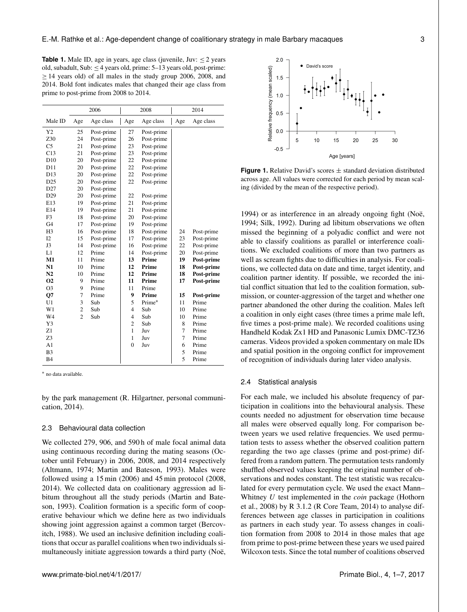**Table 1.** Male ID, age in years, age class (juvenile, Juv:  $\leq 2$  years old, subadult, Sub:  $\leq$  4 years old, prime: 5–13 years old, post-prime: ≥ 14 years old) of all males in the study group 2006, 2008, and 2014. Bold font indicates males that changed their age class from prime to post-prime from 2008 to 2014.

| Male ID<br>Age<br>Age<br>Age class<br>Age<br>Age class<br>Age class<br>Y <sub>2</sub><br>25<br>27<br>Post-prime<br>Post-prime<br>24<br>Z30<br>Post-prime<br>26<br>Post-prime<br>C <sub>5</sub><br>21<br>Post-prime<br>23<br>Post-prime<br>C13<br>21<br>Post-prime<br>23<br>Post-prime<br>20<br>22<br>D10<br>Post-prime<br>Post-prime<br>22<br>D11<br>20<br>Post-prime<br>Post-prime<br>20<br>22<br>D13<br>Post-prime<br>Post-prime<br>D <sub>25</sub><br>20<br>22<br>Post-prime<br>Post-prime<br>D <sub>27</sub><br>20<br>Post-prime<br>20<br>D <sub>29</sub><br>Post-prime<br>22<br>Post-prime<br>21<br>E13<br>19<br>Post-prime<br>Post-prime<br>21<br>E14<br>19<br>Post-prime<br>Post-prime<br>F3<br>18<br>20 | 2006 |            | 2008 |            | 2014 |  |
|-----------------------------------------------------------------------------------------------------------------------------------------------------------------------------------------------------------------------------------------------------------------------------------------------------------------------------------------------------------------------------------------------------------------------------------------------------------------------------------------------------------------------------------------------------------------------------------------------------------------------------------------------------------------------------------------------------------------|------|------------|------|------------|------|--|
|                                                                                                                                                                                                                                                                                                                                                                                                                                                                                                                                                                                                                                                                                                                 |      |            |      |            |      |  |
|                                                                                                                                                                                                                                                                                                                                                                                                                                                                                                                                                                                                                                                                                                                 |      |            |      |            |      |  |
|                                                                                                                                                                                                                                                                                                                                                                                                                                                                                                                                                                                                                                                                                                                 |      |            |      |            |      |  |
|                                                                                                                                                                                                                                                                                                                                                                                                                                                                                                                                                                                                                                                                                                                 |      |            |      |            |      |  |
|                                                                                                                                                                                                                                                                                                                                                                                                                                                                                                                                                                                                                                                                                                                 |      |            |      |            |      |  |
|                                                                                                                                                                                                                                                                                                                                                                                                                                                                                                                                                                                                                                                                                                                 |      |            |      |            |      |  |
|                                                                                                                                                                                                                                                                                                                                                                                                                                                                                                                                                                                                                                                                                                                 |      |            |      |            |      |  |
|                                                                                                                                                                                                                                                                                                                                                                                                                                                                                                                                                                                                                                                                                                                 |      |            |      |            |      |  |
|                                                                                                                                                                                                                                                                                                                                                                                                                                                                                                                                                                                                                                                                                                                 |      |            |      |            |      |  |
|                                                                                                                                                                                                                                                                                                                                                                                                                                                                                                                                                                                                                                                                                                                 |      |            |      |            |      |  |
|                                                                                                                                                                                                                                                                                                                                                                                                                                                                                                                                                                                                                                                                                                                 |      |            |      |            |      |  |
|                                                                                                                                                                                                                                                                                                                                                                                                                                                                                                                                                                                                                                                                                                                 |      |            |      |            |      |  |
|                                                                                                                                                                                                                                                                                                                                                                                                                                                                                                                                                                                                                                                                                                                 |      |            |      |            |      |  |
|                                                                                                                                                                                                                                                                                                                                                                                                                                                                                                                                                                                                                                                                                                                 |      | Post-prime |      | Post-prime |      |  |
| G4<br>17<br>19<br>Post-prime<br>Post-prime                                                                                                                                                                                                                                                                                                                                                                                                                                                                                                                                                                                                                                                                      |      |            |      |            |      |  |
| H <sub>3</sub><br>16<br>Post-prime<br>18<br>Post-prime<br>24<br>Post-prime                                                                                                                                                                                                                                                                                                                                                                                                                                                                                                                                                                                                                                      |      |            |      |            |      |  |
| I2<br>15<br>17<br>Post-prime<br>23<br>Post-prime<br>Post-prime                                                                                                                                                                                                                                                                                                                                                                                                                                                                                                                                                                                                                                                  |      |            |      |            |      |  |
| J3<br>14<br>Post-prime<br>16<br>Post-prime<br>22<br>Post-prime                                                                                                                                                                                                                                                                                                                                                                                                                                                                                                                                                                                                                                                  |      |            |      |            |      |  |
| L1<br>12<br>Prime<br>Post-prime<br>Post-prime<br>14<br>20                                                                                                                                                                                                                                                                                                                                                                                                                                                                                                                                                                                                                                                       |      |            |      |            |      |  |
| M1<br>11<br>Prime<br>13<br>Prime<br>19<br>Post-prime                                                                                                                                                                                                                                                                                                                                                                                                                                                                                                                                                                                                                                                            |      |            |      |            |      |  |
| N1<br>10<br>Prime<br>12<br>Prime<br>18<br>Post-prime                                                                                                                                                                                                                                                                                                                                                                                                                                                                                                                                                                                                                                                            |      |            |      |            |      |  |
| N <sub>2</sub><br>10<br>Prime<br>12<br>Prime<br>18<br>Post-prime                                                                                                                                                                                                                                                                                                                                                                                                                                                                                                                                                                                                                                                |      |            |      |            |      |  |
| O <sub>2</sub><br>9<br>Prime<br>11<br>Prime<br>17<br>Post-prime                                                                                                                                                                                                                                                                                                                                                                                                                                                                                                                                                                                                                                                 |      |            |      |            |      |  |
| 9<br>O <sub>3</sub><br>Prime<br>11<br>Prime                                                                                                                                                                                                                                                                                                                                                                                                                                                                                                                                                                                                                                                                     |      |            |      |            |      |  |
| $\overline{7}$<br>Prime<br>9<br>Prime<br>Q7<br>15<br>Post-prime                                                                                                                                                                                                                                                                                                                                                                                                                                                                                                                                                                                                                                                 |      |            |      |            |      |  |
| 3<br>5<br>Prime*<br>U <sub>1</sub><br>Sub<br>11<br>Prime                                                                                                                                                                                                                                                                                                                                                                                                                                                                                                                                                                                                                                                        |      |            |      |            |      |  |
| $\overline{c}$<br>W1<br>Sub<br>$\overline{4}$<br>Sub<br>10<br>Prime                                                                                                                                                                                                                                                                                                                                                                                                                                                                                                                                                                                                                                             |      |            |      |            |      |  |
| $\overline{c}$<br>W <sub>4</sub><br>Sub<br>$\overline{4}$<br>Sub<br>10<br>Prime                                                                                                                                                                                                                                                                                                                                                                                                                                                                                                                                                                                                                                 |      |            |      |            |      |  |
| Y3<br>$\overline{c}$<br>Sub<br>8<br>Prime                                                                                                                                                                                                                                                                                                                                                                                                                                                                                                                                                                                                                                                                       |      |            |      |            |      |  |
| Z1<br>1<br>7<br>Juv<br>Prime                                                                                                                                                                                                                                                                                                                                                                                                                                                                                                                                                                                                                                                                                    |      |            |      |            |      |  |
| 7<br>Z3<br>$\mathbf{1}$<br>Juv<br>Prime                                                                                                                                                                                                                                                                                                                                                                                                                                                                                                                                                                                                                                                                         |      |            |      |            |      |  |
| $\mathbf{0}$<br>A <sub>1</sub><br>Juv<br>6<br>Prime                                                                                                                                                                                                                                                                                                                                                                                                                                                                                                                                                                                                                                                             |      |            |      |            |      |  |
| 5<br>B <sub>3</sub><br>Prime                                                                                                                                                                                                                                                                                                                                                                                                                                                                                                                                                                                                                                                                                    |      |            |      |            |      |  |
| 5<br><b>B4</b><br>Prime                                                                                                                                                                                                                                                                                                                                                                                                                                                                                                                                                                                                                                                                                         |      |            |      |            |      |  |

<sup>∗</sup> no data available.

by the park management (R. Hilgartner, personal communication, 2014).

### 2.3 Behavioural data collection

We collected 279, 906, and 590 h of male focal animal data using continuous recording during the mating seasons (October until February) in 2006, 2008, and 2014 respectively (Altmann, 1974; Martin and Bateson, 1993). Males were followed using a 15 min (2006) and 45 min protocol (2008, 2014). We collected data on coalitionary aggression ad libitum throughout all the study periods (Martin and Bateson, 1993). Coalition formation is a specific form of cooperative behaviour which we define here as two individuals showing joint aggression against a common target (Bercovitch, 1988). We used an inclusive definition including coalitions that occur as parallel coalitions when two individuals simultaneously initiate aggression towards a third party (Noë,



**Figure 1.** Relative David's scores  $\pm$  standard deviation distributed across age. All values were corrected for each period by mean scaling (divided by the mean of the respective period).

1994) or as interference in an already ongoing fight (Noë, 1994; Silk, 1992). During ad libitum observations we often missed the beginning of a polyadic conflict and were not able to classify coalitions as parallel or interference coalitions. We excluded coalitions of more than two partners as well as scream fights due to difficulties in analysis. For coalitions, we collected data on date and time, target identity, and coalition partner identity. If possible, we recorded the initial conflict situation that led to the coalition formation, submission, or counter-aggression of the target and whether one partner abandoned the other during the coalition. Males left a coalition in only eight cases (three times a prime male left, five times a post-prime male). We recorded coalitions using Handheld Kodak Zx1 HD and Panasonic Lumix DMC-TZ36 cameras. Videos provided a spoken commentary on male IDs and spatial position in the ongoing conflict for improvement of recognition of individuals during later video analysis.

#### 2.4 Statistical analysis

For each male, we included his absolute frequency of participation in coalitions into the behavioural analysis. These counts needed no adjustment for observation time because all males were observed equally long. For comparison between years we used relative frequencies. We used permutation tests to assess whether the observed coalition pattern regarding the two age classes (prime and post-prime) differed from a random pattern. The permutation tests randomly shuffled observed values keeping the original number of observations and nodes constant. The test statistic was recalculated for every permutation cycle. We used the exact Mann– Whitney U test implemented in the *coin* package (Hothorn et al., 2008) by R 3.1.2 (R Core Team, 2014) to analyse differences between age classes in participation in coalitions as partners in each study year. To assess changes in coalition formation from 2008 to 2014 in those males that age from prime to post-prime between these years we used paired Wilcoxon tests. Since the total number of coalitions observed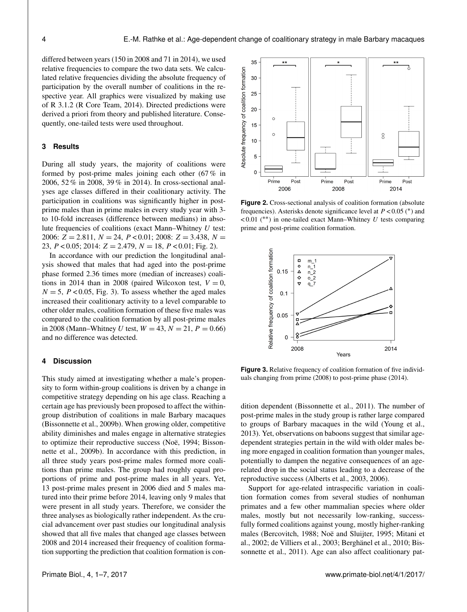differed between years (150 in 2008 and 71 in 2014), we used relative frequencies to compare the two data sets. We calculated relative frequencies dividing the absolute frequency of participation by the overall number of coalitions in the respective year. All graphics were visualized by making use of R 3.1.2 (R Core Team, 2014). Directed predictions were derived a priori from theory and published literature. Consequently, one-tailed tests were used throughout.

## **3 Results**

During all study years, the majority of coalitions were formed by post-prime males joining each other (67 % in 2006, 52 % in 2008, 39 % in 2014). In cross-sectional analyses age classes differed in their coalitionary activity. The participation in coalitions was significantly higher in postprime males than in prime males in every study year with 3 to 10-fold increases (difference between medians) in absolute frequencies of coalitions (exact Mann–Whitney  $U$  test: 2006:  $Z = 2.811$ ,  $N = 24$ ,  $P < 0.01$ ; 2008:  $Z = 3.438$ ,  $N =$ 23,  $P < 0.05$ ; 2014:  $Z = 2.479$ ,  $N = 18$ ,  $P < 0.01$ ; Fig. 2).

In accordance with our prediction the longitudinal analysis showed that males that had aged into the post-prime phase formed 2.36 times more (median of increases) coalitions in 2014 than in 2008 (paired Wilcoxon test,  $V = 0$ ,  $N = 5$ ,  $P < 0.05$ , Fig. 3). To assess whether the aged males increased their coalitionary activity to a level comparable to other older males, coalition formation of these five males was compared to the coalition formation by all post-prime males in 2008 (Mann–Whitney U test,  $W = 43, N = 21, P = 0.66$ ) and no difference was detected.

### **4 Discussion**

This study aimed at investigating whether a male's propensity to form within-group coalitions is driven by a change in competitive strategy depending on his age class. Reaching a certain age has previously been proposed to affect the withingroup distribution of coalitions in male Barbary macaques (Bissonnette et al., 2009b). When growing older, competitive ability diminishes and males engage in alternative strategies to optimize their reproductive success (Noë, 1994; Bissonnette et al., 2009b). In accordance with this prediction, in all three study years post-prime males formed more coalitions than prime males. The group had roughly equal proportions of prime and post-prime males in all years. Yet, 13 post-prime males present in 2006 died and 5 males matured into their prime before 2014, leaving only 9 males that were present in all study years. Therefore, we consider the three analyses as biologically rather independent. As the crucial advancement over past studies our longitudinal analysis showed that all five males that changed age classes between 2008 and 2014 increased their frequency of coalition formation supporting the prediction that coalition formation is con-



**Figure 2.** Cross-sectional analysis of coalition formation (absolute frequencies). Asterisks denote significance level at  $P < 0.05$  (\*) and  $< 0.01$  (\*\*) in one-tailed exact Mann–Whitney U tests comparing prime and post-prime coalition formation.



**Figure 3.** Relative frequency of coalition formation of five individuals changing from prime (2008) to post-prime phase (2014).

dition dependent (Bissonnette et al., 2011). The number of post-prime males in the study group is rather large compared to groups of Barbary macaques in the wild (Young et al., 2013). Yet, observations on baboons suggest that similar agedependent strategies pertain in the wild with older males being more engaged in coalition formation than younger males, potentially to dampen the negative consequences of an agerelated drop in the social status leading to a decrease of the reproductive success (Alberts et al., 2003, 2006).

Support for age-related intraspecific variation in coalition formation comes from several studies of nonhuman primates and a few other mammalian species where older males, mostly but not necessarily low-ranking, successfully formed coalitions against young, mostly higher-ranking males (Bercovitch, 1988; Noë and Sluijter, 1995; Mitani et al., 2002; de Villiers et al., 2003; Berghänel et al., 2010; Bissonnette et al., 2011). Age can also affect coalitionary pat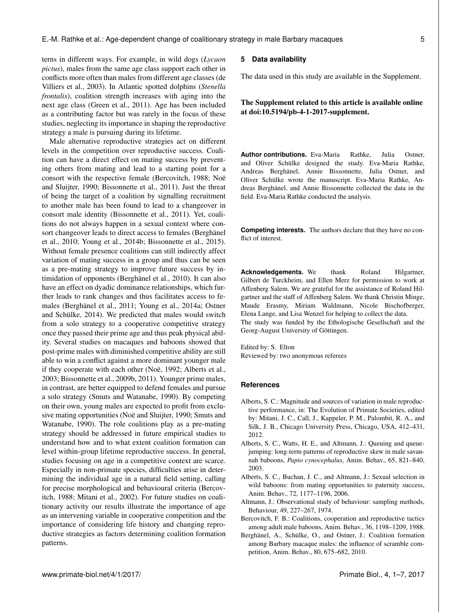terns in different ways. For example, in wild dogs (*Lycaon pictus*), males from the same age class support each other in conflicts more often than males from different age classes (de Villiers et al., 2003). In Atlantic spotted dolphins (*Stenella frontalis*), coalition strength increases with aging into the next age class (Green et al., 2011). Age has been included as a contributing factor but was rarely in the focus of these studies, neglecting its importance in shaping the reproductive strategy a male is pursuing during its lifetime.

Male alternative reproductive strategies act on different levels in the competition over reproductive success. Coalition can have a direct effect on mating success by preventing others from mating and lead to a starting point for a consort with the respective female (Bercovitch, 1988; Noë and Sluijter, 1990; Bissonnette et al., 2011). Just the threat of being the target of a coalition by signalling recruitment to another male has been found to lead to a changeover in consort male identity (Bissonnette et al., 2011). Yet, coalitions do not always happen in a sexual context where consort changeover leads to direct access to females (Berghänel et al., 2010; Young et al., 2014b; Bissonnette et al., 2015). Without female presence coalitions can still indirectly affect variation of mating success in a group and thus can be seen as a pre-mating strategy to improve future success by intimidation of opponents (Berghänel et al., 2010). It can also have an effect on dyadic dominance relationships, which further leads to rank changes and thus facilitates access to females (Berghänel et al., 2011; Young et al., 2014a; Ostner and Schülke, 2014). We predicted that males would switch from a solo strategy to a cooperative competitive strategy once they passed their prime age and thus peak physical ability. Several studies on macaques and baboons showed that post-prime males with diminished competitive ability are still able to win a conflict against a more dominant younger male if they cooperate with each other (Noë, 1992; Alberts et al., 2003; Bissonnette et al., 2009b, 2011). Younger prime males, in contrast, are better equipped to defend females and pursue a solo strategy (Smuts and Watanabe, 1990). By competing on their own, young males are expected to profit from exclusive mating opportunities (Noë and Sluijter, 1990; Smuts and Watanabe, 1990). The role coalitions play as a pre-mating strategy should be addressed in future empirical studies to understand how and to what extent coalition formation can level within-group lifetime reproductive success. In general, studies focusing on age in a competitive context are scarce. Especially in non-primate species, difficulties arise in determining the individual age in a natural field setting, calling for precise morphological and behavioural criteria (Bercovitch, 1988; Mitani et al., 2002). For future studies on coalitionary activity our results illustrate the importance of age as an intervening variable in cooperative competition and the importance of considering life history and changing reproductive strategies as factors determining coalition formation patterns.

#### **5 Data availability**

The data used in this study are available in the Supplement.

# The Supplement related to this article is available online at [doi:10.5194/pb-4-1-2017-supplement.](http://dx.doi.org/10.5194/pb-4-1-2017-supplement)

**Author contributions.** Eva-Maria Rathke, Julia Ostner, and Oliver Schülke designed the study. Eva-Maria Rathke, Andreas Berghänel, Annie Bissonnette, Julia Ostner, and Oliver Schülke wrote the manuscript. Eva-Maria Rathke, Andreas Berghänel, and Annie Bissonnette collected the data in the field. Eva-Maria Rathke conducted the analysis.

**Competing interests.** The authors declare that they have no conflict of interest.

**Acknowledgements.** We thank Roland Hilgartner, Gilbert de Turckheim, and Ellen Merz for permission to work at Affenberg Salem. We are grateful for the assistance of Roland Hilgartner and the staff of Affenberg Salem. We thank Christin Minge, Maude Erasmy, Miriam Waldmann, Nicole Bischofberger, Elena Lange, and Lisa Wenzel for helping to collect the data. The study was funded by the Ethologische Gesellschaft and the Georg-August University of Göttingen.

Edited by: S. Elton Reviewed by: two anonymous referees

## **References**

- Alberts, S. C.: Magnitude and sources of variation in male reproductive performance, in: The Evolution of Primate Societies, edited by: Mitani, J. C., Call, J., Kappeler, P. M., Palombit, R. A., and Silk, J. B., Chicago University Press, Chicago, USA, 412–431, 2012.
- Alberts, S. C., Watts, H. E., and Altmann, J.: Queuing and queuejumping: long-term patterns of reproductive skew in male savannah baboons, *Papio cynocephalus*, Anim. Behav., 65, 821–840, 2003.
- Alberts, S. C., Buchan, J. C., and Altmann, J.: Sexual selection in wild baboons: from mating opportunities to paternity success, Anim. Behav., 72, 1177–1196, 2006.
- Altmann, J.: Observational study of behaviour: sampling methods, Behaviour, 49, 227–267, 1974.
- Bercovitch, F. B.: Coalitions, cooperation and reproductive tactics among adult male baboons, Anim. Behav., 36, 1198–1209, 1988.
- Berghänel, A., Schülke, O., and Ostner, J.: Coalition formation among Barbary macaque males: the influence of scramble competition, Anim. Behav., 80, 675–682, 2010.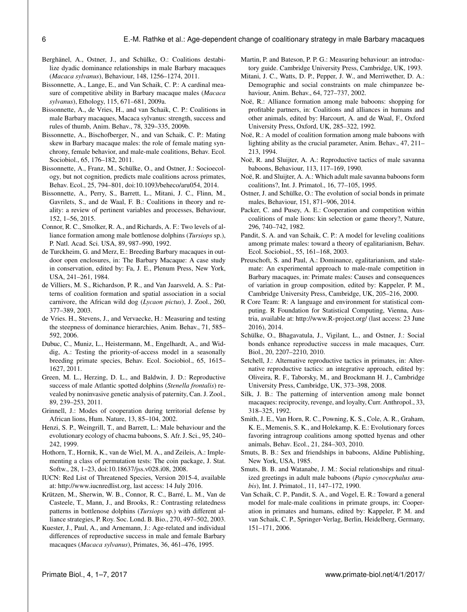- Berghänel, A., Ostner, J., and Schülke, O.: Coalitions destabilize dyadic dominance relationships in male Barbary macaques (*Macaca sylvanus*), Behaviour, 148, 1256–1274, 2011.
- Bissonnette, A., Lange, E., and Van Schaik, C. P.: A cardinal measure of competitive ability in Barbary macaque males (*Macaca sylvanus*), Ethology, 115, 671–681, 2009a.
- Bissonnette, A., de Vries, H., and van Schaik, C. P.: Coalitions in male Barbary macaques, Macaca sylvanus: strength, success and rules of thumb, Anim. Behav., 78, 329–335, 2009b.
- Bissonnette, A., Bischofberger, N., and van Schaik, C. P.: Mating skew in Barbary macaque males: the role of female mating synchrony, female behavior, and male-male coalitions, Behav. Ecol. Sociobiol., 65, 176–182, 2011.
- Bissonnette, A., Franz, M., Schülke, O., and Ostner, J.: Socioecology, but not cognition, predicts male coalitions across primates, Behav. Ecol., 25, 794–801, doi[:10.1093/beheco/aru054,](http://dx.doi.org/10.1093/beheco/aru054) 2014.
- Bissonnette, A., Perry, S., Barrett, L., Mitani, J. C., Flinn, M., Gavrilets, S., and de Waal, F. B.: Coalitions in theory and reality: a review of pertinent variables and processes, Behaviour, 152, 1–56, 2015.
- Connor, R. C., Smolker, R. A., and Richards, A. F.: Two levels of alliance formation among male bottlenose dolphins (*Tursiops* sp.), P. Natl. Acad. Sci. USA, 89, 987–990, 1992.
- de Turckheim, G. and Merz, E.: Breeding Barbary macaques in outdoor open enclosures, in: The Barbary Macaque: A case study in conservation, edited by: Fa, J. E., Plenum Press, New York, USA, 241–261, 1984.
- de Villiers, M. S., Richardson, P. R., and Van Jaarsveld, A. S.: Patterns of coalition formation and spatial association in a social carnivore, the African wild dog (*Lycaon pictus*), J. Zool., 260, 377–389, 2003.
- de Vries. H., Stevens, J., and Vervaecke, H.: Measuring and testing the steepness of dominance hierarchies, Anim. Behav., 71, 585– 592, 2006.
- Dubuc, C., Muniz, L., Heistermann, M., Engelhardt, A., and Widdig, A.: Testing the priority-of-access model in a seasonally breeding primate species, Behav. Ecol. Sociobiol., 65, 1615– 1627, 2011.
- Green, M. L., Herzing, D. L., and Baldwin, J. D.: Reproductive success of male Atlantic spotted dolphins (*Stenella frontalis*) revealed by noninvasive genetic analysis of paternity, Can. J. Zool., 89, 239–253, 2011.
- Grinnell, J.: Modes of cooperation during territorial defense by African lions, Hum. Nature, 13, 85–104, 2002.
- Henzi, S. P., Weingrill, T., and Barrett, L.: Male behaviour and the evolutionary ecology of chacma baboons, S. Afr. J. Sci., 95, 240– 242, 1999.
- Hothorn, T., Hornik, K., van de Wiel, M. A., and Zeileis, A.: Implementing a class of permutation tests: The coin package, J. Stat. Softw., 28, 1–23, doi[:10.18637/jss.v028.i08,](http://dx.doi.org/10.18637/jss.v028.i08) 2008.
- IUCN: Red List of Threatened Species, Version 2015-4, available at: [http://www.iucnredlist.org,](http://www.iucnredlist.org) last access: 14 July 2016.
- Krützen, M., Sherwin, W. B., Connor, R. C., Barré, L. M., Van de Casteele, T., Mann, J., and Brooks, R.: Contrasting relatedness patterns in bottlenose dolphins (*Tursiops* sp.) with different alliance strategies, P. Roy. Soc. Lond. B. Bio., 270, 497–502, 2003.
- Kuester, J., Paul, A., and Arnemann, J.: Age-related and individual differences of reproductive success in male and female Barbary macaques (*Macaca sylvanus*), Primates, 36, 461–476, 1995.
- Martin, P. and Bateson, P. P. G.: Measuring behaviour: an introductory guide. Cambridge University Press, Cambridge, UK, 1993.
- Mitani, J. C., Watts, D. P., Pepper, J. W., and Merriwether, D. A.: Demographic and social constraints on male chimpanzee behaviour, Anim. Behav., 64, 727–737, 2002.
- Noë, R.: Alliance formation among male baboons: shopping for profitable partners, in: Coalitions and alliances in humans and other animals, edited by: Harcourt, A. and de Waal, F., Oxford University Press, Oxford, UK, 285–322, 1992.
- Noë, R.: A model of coalition formation among male baboons with lighting ability as the crucial parameter, Anim. Behav., 47, 211– 213, 1994.
- Noë, R. and Sluijter, A. A.: Reproductive tactics of male savanna baboons, Behaviour, 113, 117–169, 1990.
- Noë, R. and Sluijter, A. A.: Which adult male savanna baboons form coalitions?, Int. J. Primatol., 16, 77–105, 1995.
- Ostner, J. and Schülke, O.: The evolution of social bonds in primate males, Behaviour, 151, 871–906, 2014.
- Packer, C. and Pusey, A. E.: Cooperation and competition within coalitions of male lions: kin selection or game theory?, Nature, 296, 740–742, 1982.
- Pandit, S. A. and van Schaik, C. P.: A model for leveling coalitions among primate males: toward a theory of egalitarianism, Behav. Ecol. Sociobiol., 55, 161–168, 2003.
- Preuschoft, S. and Paul, A.: Dominance, egalitarianism, and stalemate: An experimental approach to male-male competition in Barbary macaques, in: Primate males: Causes and consequences of variation in group composition, edited by: Kappeler, P. M., Cambridge University Press, Cambridge, UK, 205–216, 2000.
- R Core Team: R: A language and environment for statistical computing. R Foundation for Statistical Computing, Vienna, Austria, available at: <http://www.R-project.org/> (last access: 23 June 2016), 2014.
- Schülke, O., Bhagavatula, J., Vigilant, L., and Ostner, J.: Social bonds enhance reproductive success in male macaques, Curr. Biol., 20, 2207–2210, 2010.
- Setchell, J.: Alternative reproductive tactics in primates, in: Alternative reproductive tactics: an integrative approach, edited by: Oliveira, R. F., Taborsky, M., and Brockmann H. J., Cambridge University Press, Cambridge, UK, 373–398, 2008.
- Silk, J. B.: The patterning of intervention among male bonnet macaques: reciprocity, revenge, and loyalty, Curr. Anthropol., 33, 318–325, 1992.
- Smith, J. E., Van Horn, R. C., Powning, K. S., Cole, A. R., Graham, K. E., Memenis, S. K., and Holekamp, K. E.: Evolutionary forces favoring intragroup coalitions among spotted hyenas and other animals, Behav. Ecol., 21, 284–303, 2010.
- Smuts, B. B.: Sex and friendships in baboons, Aldine Publishing, New York, USA, 1985.
- Smuts, B. B. and Watanabe, J. M.: Social relationships and ritualized greetings in adult male baboons (*Papio cynocephalus anubis*), Int. J. Primatol., 11, 147–172, 1990.
- Van Schaik, C. P., Pandit, S. A., and Vogel, E. R.: Toward a general model for male-male coalitions in primate groups, in: Cooperation in primates and humans, edited by: Kappeler, P. M. and van Schaik, C. P., Springer-Verlag, Berlin, Heidelberg, Germany, 151–171, 2006.